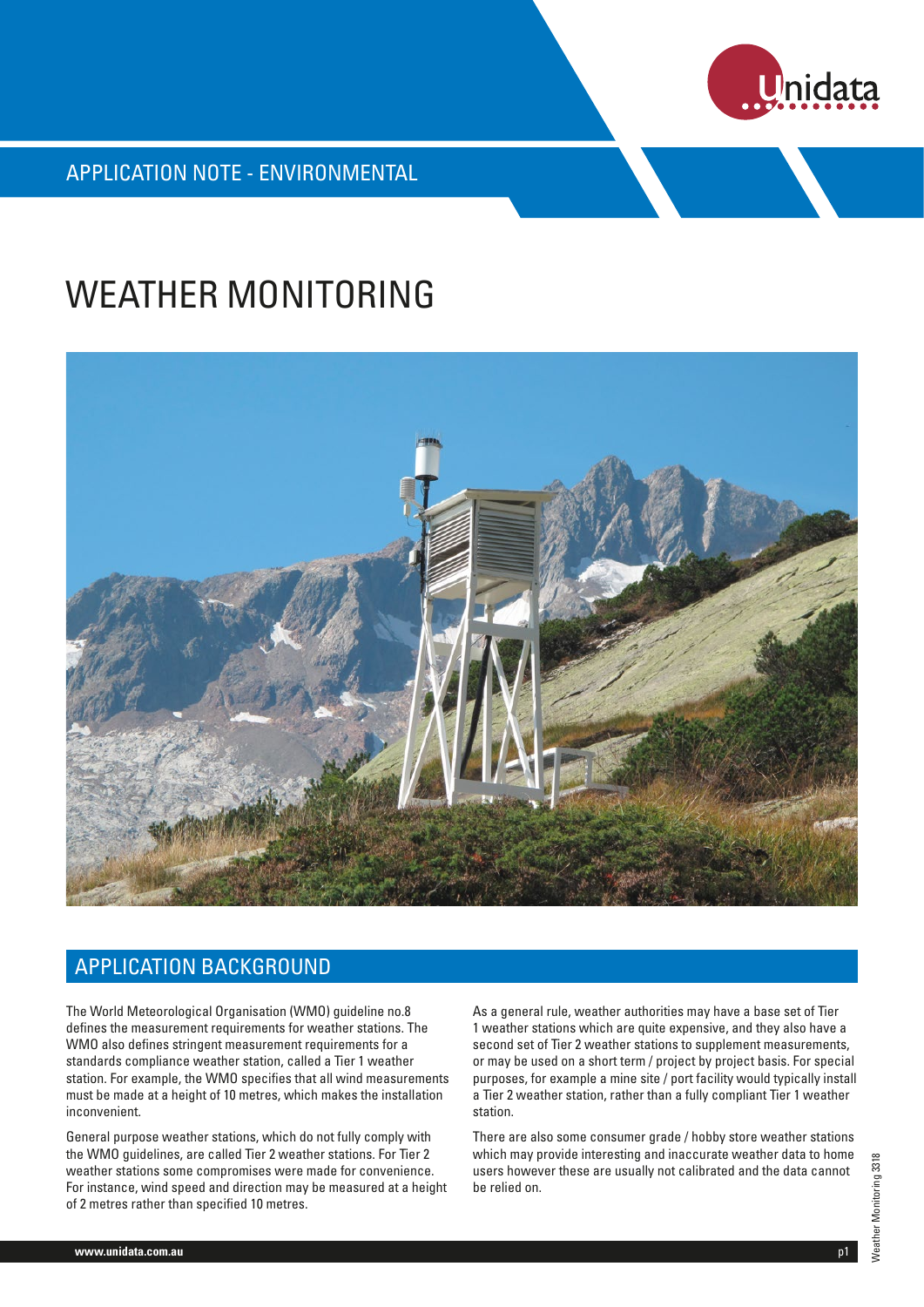

APPLICATION NOTE - ENVIRONMENTAL

# WEATHER MONITORING



# APPLICATION BACKGROUND

The World Meteorological Organisation (WMO) guideline no.8 defines the measurement requirements for weather stations. The WMO also defines stringent measurement requirements for a standards compliance weather station, called a Tier 1 weather station. For example, the WMO specifies that all wind measurements must be made at a height of 10 metres, which makes the installation inconvenient.

General purpose weather stations, which do not fully comply with the WMO guidelines, are called Tier 2 weather stations. For Tier 2 weather stations some compromises were made for convenience. For instance, wind speed and direction may be measured at a height of 2 metres rather than specified 10 metres.

As a general rule, weather authorities may have a base set of Tier 1 weather stations which are quite expensive, and they also have a second set of Tier 2 weather stations to supplement measurements, or may be used on a short term / project by project basis. For special purposes, for example a mine site / port facility would typically install a Tier 2 weather station, rather than a fully compliant Tier 1 weather station.

There are also some consumer grade / hobby store weather stations which may provide interesting and inaccurate weather data to home users however these are usually not calibrated and the data cannot be relied on.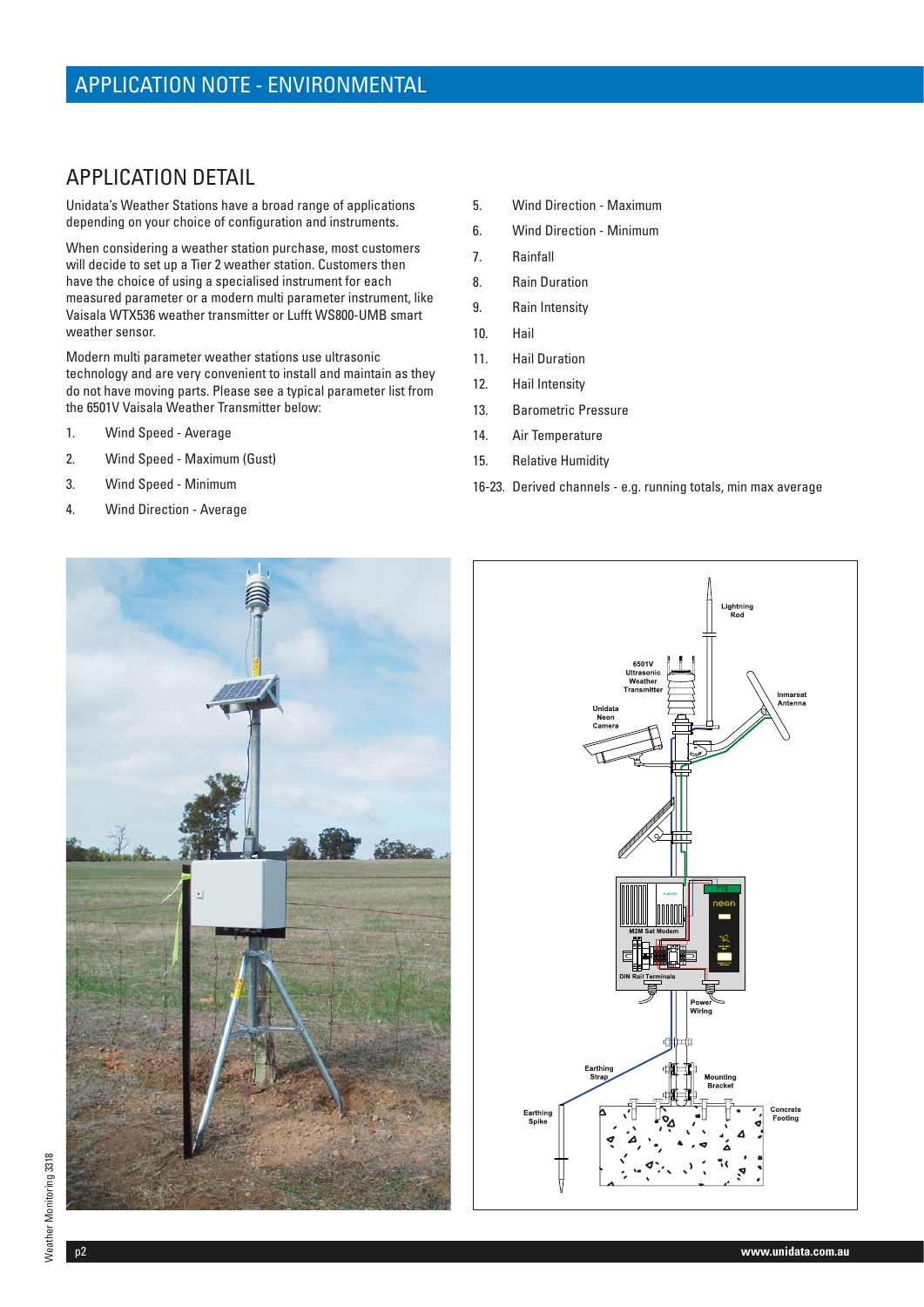# APPLICATION DETAIL

Unidata's Weather Stations have a broad range of applications depending on your choice of configuration and instruments.

When considering a weather station purchase, most customers will decide to set up a Tier 2 weather station. Customers then have the choice of using a specialised instrument for each measured parameter or a modern multi parameter instrument, like Vaisala WTX536 weather transmitter or Lufft WS800-UMB smart weather sensor.

Modern multi parameter weather stations use ultrasonic technology and are very convenient to install and maintain as they do not have moving parts. Please see a typical parameter list from the 6501V Vaisala Weather Transmitter below:

- 1. Wind Speed Average
- 2. Wind Speed Maximum (Gust)
- 3. Wind Speed Minimum
- 4. Wind Direction Average
- 5. Wind Direction Maximum
- 6. Wind Direction Minimum
- 7. Rainfall
- 8. Rain Duration
- 9. Rain Intensity
- 10. Hail
- 11. Hail Duration
- 12. Hail Intensity
- 13. Barometric Pressure
- 14. Air Temperature
- 15. Relative Humidity
- 16-23. Derived channels e.g. running totals, min max average



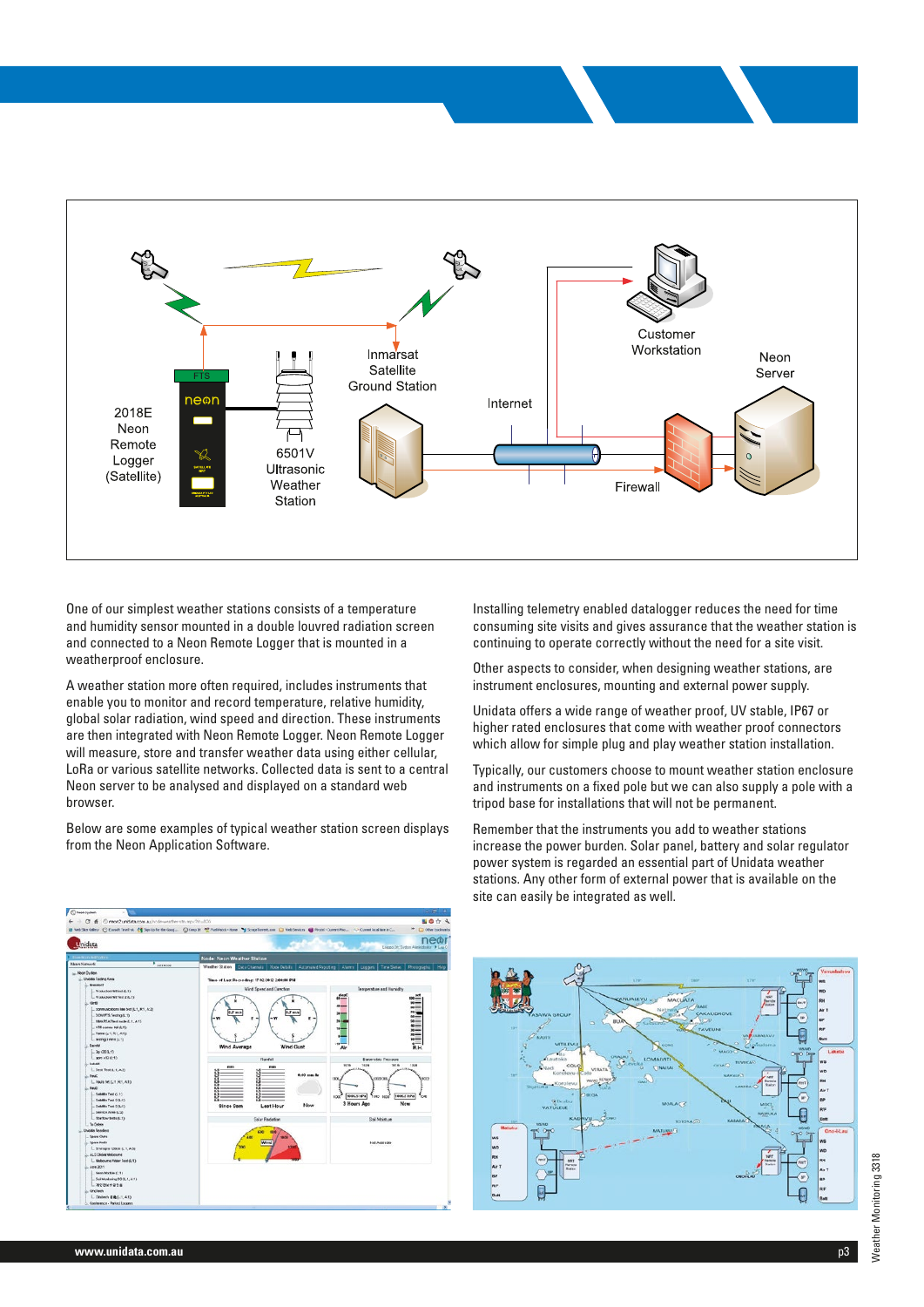

One of our simplest weather stations consists of a temperature and humidity sensor mounted in a double louvred radiation screen and connected to a Neon Remote Logger that is mounted in a weatherproof enclosure.

A weather station more often required, includes instruments that enable you to monitor and record temperature, relative humidity, global solar radiation, wind speed and direction. These instruments are then integrated with Neon Remote Logger. Neon Remote Logger will measure, store and transfer weather data using either cellular, LoRa or various satellite networks. Collected data is sent to a central Neon server to be analysed and displayed on a standard web browser.

Below are some examples of typical weather station screen displays from the Neon Application Software.

Installing telemetry enabled datalogger reduces the need for time consuming site visits and gives assurance that the weather station is continuing to operate correctly without the need for a site visit.

Other aspects to consider, when designing weather stations, are instrument enclosures, mounting and external power supply.

Unidata offers a wide range of weather proof, UV stable, IP67 or higher rated enclosures that come with weather proof connectors which allow for simple plug and play weather station installation.

Typically, our customers choose to mount weather station enclosure and instruments on a fixed pole but we can also supply a pole with a tripod base for installations that will not be permanent.

Remember that the instruments you add to weather stations increase the power burden. Solar panel, battery and solar regulator power system is regarded an essential part of Unidata weather stations. Any other form of external power that is available on the site can easily be integrated as well.





**www.unidata.com.au** p3

Weather Monitoring 3318

**Neather Monitoring 3318**